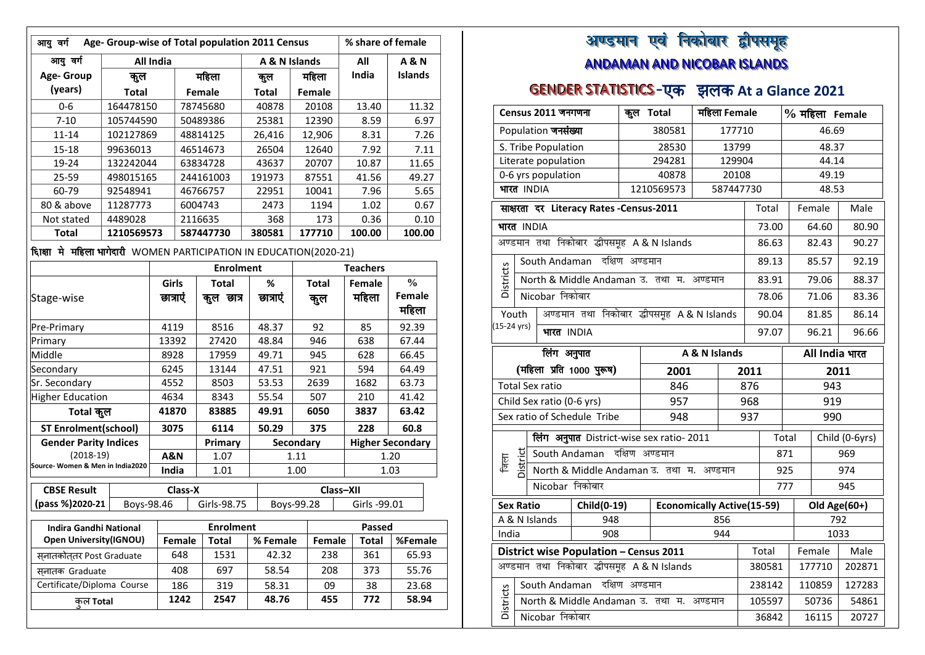| आयु वर्ग                                                             | Age- Group-wise of Total population 2011 Census |          |                   |                  |  |                |      | % share of female |       |                 |                         |  |
|----------------------------------------------------------------------|-------------------------------------------------|----------|-------------------|------------------|--|----------------|------|-------------------|-------|-----------------|-------------------------|--|
| आयु वर्ग                                                             | <b>All India</b>                                |          |                   |                  |  | A & N Islands  |      |                   |       | All             | <b>A&amp;N</b>          |  |
| Age- Group                                                           | कुल                                             |          |                   | महिला            |  | कुल            |      | महिला             |       | India           | Islands                 |  |
| (years)                                                              | <b>Total</b>                                    |          |                   | Female           |  | <b>Total</b>   |      | Female            |       |                 |                         |  |
| 0-6                                                                  | 164478150                                       |          | 78745680<br>40878 |                  |  | 20108          |      | 13.40             | 11.32 |                 |                         |  |
| $7 - 10$                                                             | 105744590                                       |          |                   | 50489386         |  | 25381          |      | 12390             |       | 8.59            | 6.97                    |  |
| $11 - 14$                                                            | 102127869                                       |          |                   | 48814125         |  | 26,416         |      | 12,906            |       | 8.31            | 7.26                    |  |
| $15 - 18$                                                            | 99636013                                        |          |                   | 46514673         |  | 26504          |      | 12640             |       | 7.92            | 7.11                    |  |
| 19-24                                                                | 132242044                                       |          |                   | 63834728         |  | 43637          |      | 20707             |       | 10.87           | 11.65                   |  |
| 25-59                                                                | 498015165                                       |          |                   | 244161003        |  | 191973         |      | 87551             |       | 41.56           | 49.27                   |  |
| 60-79                                                                | 92548941                                        |          |                   | 46766757         |  | 22951          |      | 10041             |       | 7.96            | 5.65                    |  |
| 80 & above                                                           | 11287773                                        |          | 6004743           |                  |  | 2473           |      | 1194              |       | 1.02            | 0.67                    |  |
| Not stated                                                           | 4489028                                         |          | 2116635           |                  |  | 368            |      | 173               |       | 0.36            | 0.10                    |  |
| <b>Total</b>                                                         | 1210569573                                      |          |                   | 587447730        |  | 380581         |      | 177710            |       | 100.00          | 100.00                  |  |
| दिग्क्षा मे महिला भागेदारी WOMEN PARTICIPATION IN EDUCATION(2020-21) |                                                 |          |                   |                  |  |                |      |                   |       |                 |                         |  |
|                                                                      |                                                 |          |                   | <b>Enrolment</b> |  |                |      |                   |       | <b>Teachers</b> |                         |  |
|                                                                      |                                                 | Girls    |                   | <b>Total</b>     |  | %              |      | <b>Total</b>      |       | Female          | $\frac{0}{0}$           |  |
| Stage-wise                                                           |                                                 | छात्राएं |                   | कुल छात्र        |  | छात्राएं       |      | कुल               |       | महिला           | Female                  |  |
|                                                                      |                                                 |          |                   |                  |  |                |      |                   |       |                 | महिला                   |  |
| Pre-Primary                                                          |                                                 | 4119     |                   | 8516             |  | 48.37          |      | 92                |       | 85              | 92.39                   |  |
| Primary                                                              |                                                 | 13392    |                   | 27420            |  | 48.84          |      | 946               |       | 638             | 67.44                   |  |
| Middle                                                               |                                                 |          | 8928<br>17959     |                  |  | 49.71          |      | 945               |       | 628             | 66.45                   |  |
| Secondary                                                            |                                                 | 6245     |                   | 13144            |  | 47.51          |      | 921               |       | 594             | 64.49                   |  |
| Sr. Secondary                                                        |                                                 | 4552     |                   | 8503             |  | 53.53          |      | 2639              |       | 1682            | 63.73                   |  |
| <b>Higher Education</b>                                              |                                                 | 4634     |                   | 8343             |  | 55.54          |      | 507               |       | 210             | 41.42                   |  |
| Total कुल                                                            |                                                 | 41870    |                   | 83885            |  | 49.91          |      | 6050              |       | 3837            | 63.42                   |  |
| <b>ST Enrolment(school)</b>                                          |                                                 | 3075     |                   | 6114             |  | 50.29          |      | 375               |       | 228             | 60.8                    |  |
| <b>Gender Parity Indices</b>                                         |                                                 |          |                   | Primary          |  | Secondary      |      |                   |       |                 | <b>Higher Secondary</b> |  |
| $(2018-19)$                                                          |                                                 | A&N      |                   | 1.07             |  |                | 1.11 |                   |       |                 | 1.20                    |  |
| Source-Women & Men in India2020                                      |                                                 | India    |                   | 1.01             |  |                | 1.00 |                   |       |                 | 1.03                    |  |
| <b>CBSE Result</b>                                                   |                                                 |          | Class-X           |                  |  |                |      | Class-XII         |       |                 |                         |  |
| (pass %)2020-21                                                      | Boys-98.46                                      |          |                   | Girls-98.75      |  | Boys-99.28     |      |                   |       | Girls -99.01    |                         |  |
|                                                                      |                                                 |          |                   |                  |  |                |      |                   |       |                 |                         |  |
| <b>Indira Gandhi National</b>                                        |                                                 |          |                   | <b>Enrolment</b> |  |                |      |                   |       | Passed          |                         |  |
| <b>Open University (IGNOU)</b>                                       |                                                 |          | Female            | <b>Total</b>     |  | % Female       |      | Female            |       | Total           | %Female                 |  |
| सनातकोततर Post Graduate                                              |                                                 |          | 648               | 1531             |  | 42.32          |      | 238               |       | 361             | 65.93                   |  |
| सनातक Graduate<br>Certificate/Diploma Course                         |                                                 |          | 408<br>186        | 697<br>319       |  | 58.54<br>58.31 |      | 208<br>09         |       | 373<br>38       | 55.76<br>23.68          |  |
|                                                                      |                                                 |          | 1242              | 2547             |  | 48.76          |      | 455               |       | 772             | 58.94                   |  |
| कल Total                                                             |                                                 |          |                   |                  |  |                |      |                   |       |                 |                         |  |
|                                                                      |                                                 |          |                   |                  |  |                |      |                   |       |                 |                         |  |

#### अण्डमान एवं निकोबार द्वौपसमूह a s i<br>Sidang panganan di kacamatan di kacamatan di kacamatan di kacamatan di kacamatan di kacamatan di kacamatan di<br>Kacamatan di kacamatan di kacamatan di kacamatan di kacamatan di kacamatan di kacamatan di kacamatan di kacama w ANDAMAN AND NICOBAR ISLANDS

# GENDER STATISTICS-एक झलक At a Glance 2021

| Census 2011 जनगणना               |                                                    |  | कूल Total                 |                                           |                | महिला Female                      |       | % महिला Female |       |                |       |        |      |                |
|----------------------------------|----------------------------------------------------|--|---------------------------|-------------------------------------------|----------------|-----------------------------------|-------|----------------|-------|----------------|-------|--------|------|----------------|
| Population जनसंख्या              |                                                    |  |                           | 380581                                    |                | 177710                            |       |                |       | 46.69          |       |        |      |                |
|                                  |                                                    |  | S. Tribe Population       |                                           |                | 28530                             |       | 13799          |       |                |       | 48.37  |      |                |
|                                  |                                                    |  | Literate population       |                                           |                | 294281                            |       | 129904         |       |                | 44.14 |        |      |                |
|                                  |                                                    |  | 0-6 yrs population        |                                           |                | 40878                             |       | 20108          |       |                |       | 49.19  |      |                |
| भारत INDIA                       |                                                    |  |                           |                                           |                | 1210569573                        |       | 587447730      |       |                |       | 48.53  |      |                |
|                                  |                                                    |  |                           | साक्षरता दर Literacy Rates - Census-2011  |                |                                   |       |                |       | Total          |       | Female |      | Male           |
| भारत INDIA                       |                                                    |  |                           |                                           |                |                                   |       |                |       | 73.00          |       | 64.60  |      | 80.90          |
|                                  |                                                    |  |                           | अण्डमान तथा निकोबार द्धीपसमूह A&N Islands |                |                                   |       |                |       | 86.63          |       | 82.43  |      | 90.27          |
|                                  |                                                    |  |                           | South Andaman दक्षिण अण्डमान              |                |                                   |       |                |       | 89.13          |       | 85.57  |      | 92.19          |
| <b>Districts</b>                 |                                                    |  |                           | North & Middle Andaman उ. तथा म. अण्डमान  |                |                                   |       |                |       | 83.91          |       | 79.06  |      | 88.37          |
|                                  |                                                    |  | Nicobar निकोबार           |                                           |                |                                   |       |                |       | 78.06          |       | 71.06  |      | 83.36          |
|                                  | अण्डमान तथा निकोबार द्धीपसमूह A&N Islands<br>Youth |  |                           |                                           |                |                                   | 90.04 |                | 81.85 |                | 86.14 |        |      |                |
| (15-24 yrs)<br>भारत INDIA        |                                                    |  |                           |                                           | 97.07          |                                   | 96.21 |                | 96.66 |                |       |        |      |                |
| लिंग अनुपात<br>A & N Islands     |                                                    |  |                           |                                           |                |                                   |       |                |       | All India भारत |       |        |      |                |
| (महिला प्रति 1000 पुरूष)<br>2001 |                                                    |  |                           |                                           | 2011           | 2011                              |       |                |       |                |       |        |      |                |
|                                  |                                                    |  | <b>Total Sex ratio</b>    |                                           |                | 846                               |       |                | 876   |                |       |        | 943  |                |
|                                  |                                                    |  | Child Sex ratio (0-6 yrs) |                                           |                | 957                               |       |                | 968   |                | 919   |        |      |                |
|                                  |                                                    |  |                           | Sex ratio of Schedule Tribe               |                | 948                               |       |                | 937   | 990            |       |        |      |                |
|                                  |                                                    |  |                           | लिंग अनुपात District-wise sex ratio- 2011 |                |                                   |       |                |       | Total          |       |        |      | Child (0-6yrs) |
| জিলা                             | District                                           |  |                           | South Andaman                             | दक्षिण अण्डमान |                                   |       |                |       | 871            |       |        |      | 969            |
|                                  |                                                    |  |                           | North & Middle Andaman उ. तथा म. अण्डमान  |                |                                   |       |                |       | 925            |       |        |      | 974            |
|                                  |                                                    |  | Nicobar निकोबार           |                                           |                |                                   |       |                |       | 777            |       |        |      | 945            |
| <b>Sex Ratio</b>                 |                                                    |  |                           | Child(0-19)                               |                | <b>Economically Active(15-59)</b> |       |                |       |                |       |        |      | Old Age(60+)   |
|                                  |                                                    |  | A & N Islands             | 948                                       |                |                                   |       | 856            |       |                |       |        | 792  |                |
| India                            |                                                    |  |                           | 908                                       |                |                                   |       | 944            |       |                |       |        | 1033 |                |
|                                  |                                                    |  |                           | District wise Population - Census 2011    |                |                                   |       |                |       | Total          |       | Female |      | Male           |
|                                  |                                                    |  |                           | अण्डमान तथा निकोबार द्धीपसमूह A&N Islands |                |                                   |       |                |       | 380581         |       | 177710 |      | 202871         |
|                                  |                                                    |  |                           | South Andaman दक्षिण अण्डमान              |                |                                   |       |                |       | 238142         |       | 110859 |      | 127283         |
| Districts                        |                                                    |  |                           | North & Middle Andaman उ. तथा म. अण्डमान  |                |                                   |       |                |       | 105597         |       | 50736  |      | 54861          |
| Nicobar निकोबार                  |                                                    |  |                           |                                           |                |                                   |       |                |       | 36842          |       | 16115  |      | 20727          |